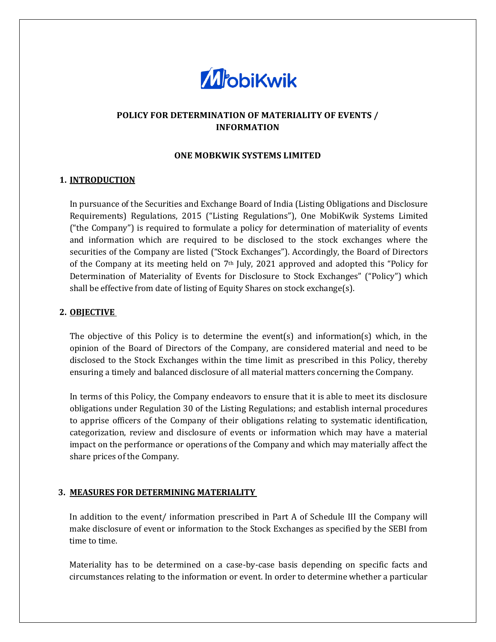

# **POLICY FOR DETERMINATION OF MATERIALITY OF EVENTS / INFORMATION**

#### **ONE MOBKWIK SYSTEMS LIMITED**

### **1. INTRODUCTION**

In pursuance of the Securities and Exchange Board of India (Listing Obligations and Disclosure Requirements) Regulations, 2015 ("Listing Regulations"), One MobiKwik Systems Limited ("the Company") is required to formulate a policy for determination of materiality of events and information which are required to be disclosed to the stock exchanges where the securities of the Company are listed ("Stock Exchanges"). Accordingly, the Board of Directors of the Company at its meeting held on 7th July, 2021 approved and adopted this "Policy for Determination of Materiality of Events for Disclosure to Stock Exchanges" ("Policy") which shall be effective from date of listing of Equity Shares on stock exchange(s).

## **2. OBJECTIVE**

The objective of this Policy is to determine the event(s) and information(s) which, in the opinion of the Board of Directors of the Company, are considered material and need to be disclosed to the Stock Exchanges within the time limit as prescribed in this Policy, thereby ensuring a timely and balanced disclosure of all material matters concerning the Company.

In terms of this Policy, the Company endeavors to ensure that it is able to meet its disclosure obligations under Regulation 30 of the Listing Regulations; and establish internal procedures to apprise officers of the Company of their obligations relating to systematic identification, categorization, review and disclosure of events or information which may have a material impact on the performance or operations of the Company and which may materially affect the share prices of the Company.

### **3. MEASURES FOR DETERMINING MATERIALITY**

In addition to the event/ information prescribed in Part A of Schedule III the Company will make disclosure of event or information to the Stock Exchanges as specified by the SEBI from time to time.

Materiality has to be determined on a case-by-case basis depending on specific facts and circumstances relating to the information or event. In order to determine whether a particular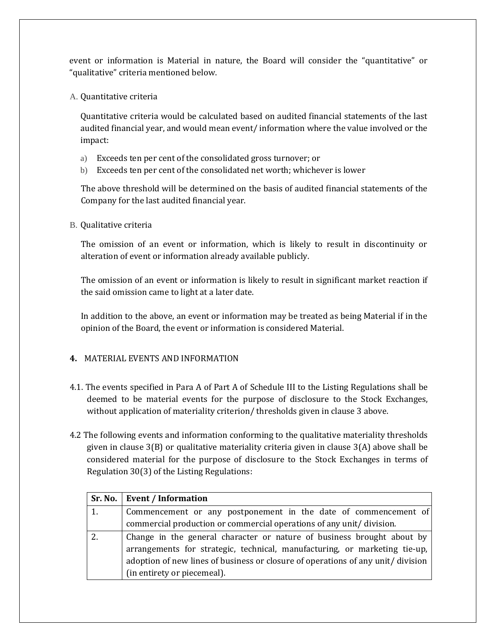event or information is Material in nature, the Board will consider the "quantitative" or "qualitative" criteria mentioned below.

A. Quantitative criteria

Quantitative criteria would be calculated based on audited financial statements of the last audited financial year, and would mean event/ information where the value involved or the impact:

- a) Exceeds ten per cent of the consolidated gross turnover; or
- b) Exceeds ten per cent of the consolidated net worth; whichever is lower

The above threshold will be determined on the basis of audited financial statements of the Company for the last audited financial year.

B. Qualitative criteria

The omission of an event or information, which is likely to result in discontinuity or alteration of event or information already available publicly.

The omission of an event or information is likely to result in significant market reaction if the said omission came to light at a later date.

In addition to the above, an event or information may be treated as being Material if in the opinion of the Board, the event or information is considered Material.

### **4.** MATERIAL EVENTS AND INFORMATION

- 4.1. The events specified in Para A of Part A of Schedule III to the Listing Regulations shall be deemed to be material events for the purpose of disclosure to the Stock Exchanges, without application of materiality criterion/ thresholds given in clause 3 above.
- 4.2 The following events and information conforming to the qualitative materiality thresholds given in clause 3(B) or qualitative materiality criteria given in clause 3(A) above shall be considered material for the purpose of disclosure to the Stock Exchanges in terms of Regulation 30(3) of the Listing Regulations:

|    | Sr. No.   Event / Information                                                    |
|----|----------------------------------------------------------------------------------|
| 1. | Commencement or any postponement in the date of commencement of                  |
|    | commercial production or commercial operations of any unit/division.             |
|    | Change in the general character or nature of business brought about by           |
|    | arrangements for strategic, technical, manufacturing, or marketing tie-up,       |
|    | adoption of new lines of business or closure of operations of any unit/ division |
|    | (in entirety or piecemeal).                                                      |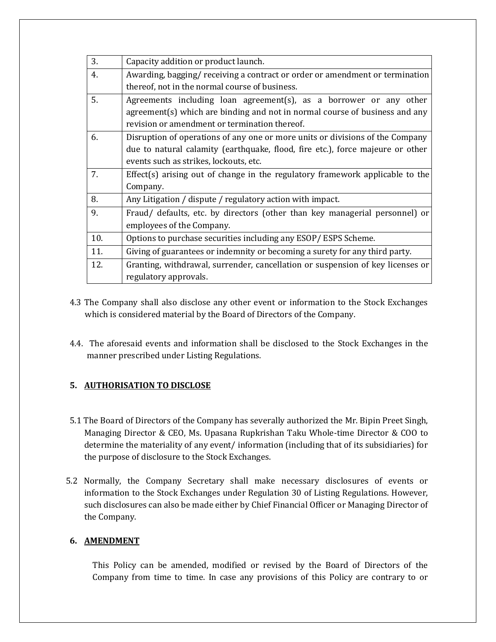| 3.  | Capacity addition or product launch.                                           |
|-----|--------------------------------------------------------------------------------|
| 4.  | Awarding, bagging/ receiving a contract or order or amendment or termination   |
|     | thereof, not in the normal course of business.                                 |
| 5.  | Agreements including loan agreement(s), as a borrower or any other             |
|     | $agreement(s)$ which are binding and not in normal course of business and any  |
|     | revision or amendment or termination thereof.                                  |
| 6.  | Disruption of operations of any one or more units or divisions of the Company  |
|     | due to natural calamity (earthquake, flood, fire etc.), force majeure or other |
|     | events such as strikes, lockouts, etc.                                         |
| 7.  | Effect(s) arising out of change in the regulatory framework applicable to the  |
|     | Company.                                                                       |
| 8.  | Any Litigation / dispute / regulatory action with impact.                      |
| 9.  | Fraud/ defaults, etc. by directors (other than key managerial personnel) or    |
|     | employees of the Company.                                                      |
| 10. | Options to purchase securities including any ESOP/ESPS Scheme.                 |
| 11. | Giving of guarantees or indemnity or becoming a surety for any third party.    |
| 12. | Granting, withdrawal, surrender, cancellation or suspension of key licenses or |
|     | regulatory approvals.                                                          |

- 4.3 The Company shall also disclose any other event or information to the Stock Exchanges which is considered material by the Board of Directors of the Company.
- 4.4. The aforesaid events and information shall be disclosed to the Stock Exchanges in the manner prescribed under Listing Regulations.

### **5. AUTHORISATION TO DISCLOSE**

- 5.1 The Board of Directors of the Company has severally authorized the Mr. Bipin Preet Singh, Managing Director & CEO, Ms. Upasana Rupkrishan Taku Whole-time Director & COO to determine the materiality of any event/ information (including that of its subsidiaries) for the purpose of disclosure to the Stock Exchanges.
- 5.2 Normally, the Company Secretary shall make necessary disclosures of events or information to the Stock Exchanges under Regulation 30 of Listing Regulations. However, such disclosures can also be made either by Chief Financial Officer or Managing Director of the Company.

### **6. AMENDMENT**

This Policy can be amended, modified or revised by the Board of Directors of the Company from time to time. In case any provisions of this Policy are contrary to or